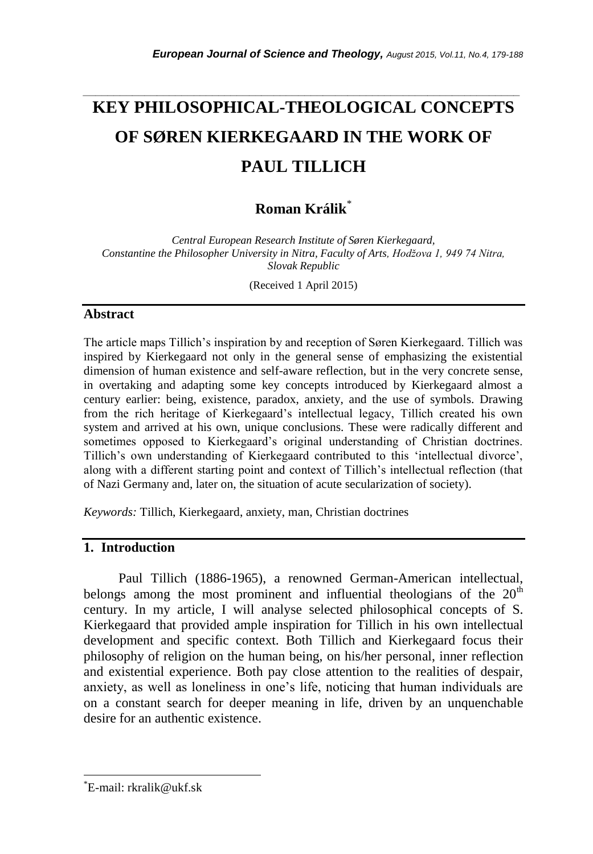# *\_\_\_\_\_\_\_\_\_\_\_\_\_\_\_\_\_\_\_\_\_\_\_\_\_\_\_\_\_\_\_\_\_\_\_\_\_\_\_\_\_\_\_\_\_\_\_\_\_\_\_\_\_\_\_\_\_\_\_\_\_\_\_\_\_\_\_\_\_\_\_* **KEY PHILOSOPHICAL-THEOLOGICAL CONCEPTS OF SØREN KIERKEGAARD IN THE WORK OF PAUL TILLICH**

# **Roman Králik**\*

*Central European Research Institute of Søren Kierkegaard, Constantine the Philosopher University in Nitra, Faculty of Arts, Hodžova 1, 949 74 Nitra, Slovak Republic*

(Received 1 April 2015)

## **Abstract**

The article maps Tillich"s inspiration by and reception of Søren Kierkegaard. Tillich was inspired by Kierkegaard not only in the general sense of emphasizing the existential dimension of human existence and self-aware reflection, but in the very concrete sense, in overtaking and adapting some key concepts introduced by Kierkegaard almost a century earlier: being, existence, paradox, anxiety, and the use of symbols. Drawing from the rich heritage of Kierkegaard"s intellectual legacy, Tillich created his own system and arrived at his own, unique conclusions. These were radically different and sometimes opposed to Kierkegaard's original understanding of Christian doctrines. Tillich's own understanding of Kierkegaard contributed to this 'intellectual divorce', along with a different starting point and context of Tillich"s intellectual reflection (that of Nazi Germany and, later on, the situation of acute secularization of society).

*Keywords:* Tillich, Kierkegaard, anxiety, man, Christian doctrines

# **1. Introduction**

Paul Tillich (1886-1965), a renowned German-American intellectual, belongs among the most prominent and influential theologians of the  $20<sup>th</sup>$ century. In my article, I will analyse selected philosophical concepts of S. Kierkegaard that provided ample inspiration for Tillich in his own intellectual development and specific context. Both Tillich and Kierkegaard focus their philosophy of religion on the human being, on his/her personal, inner reflection and existential experience. Both pay close attention to the realities of despair, anxiety, as well as loneliness in one"s life, noticing that human individuals are on a constant search for deeper meaning in life, driven by an unquenchable desire for an authentic existence.

l

<sup>\*</sup>E-mail: rkralik@ukf.sk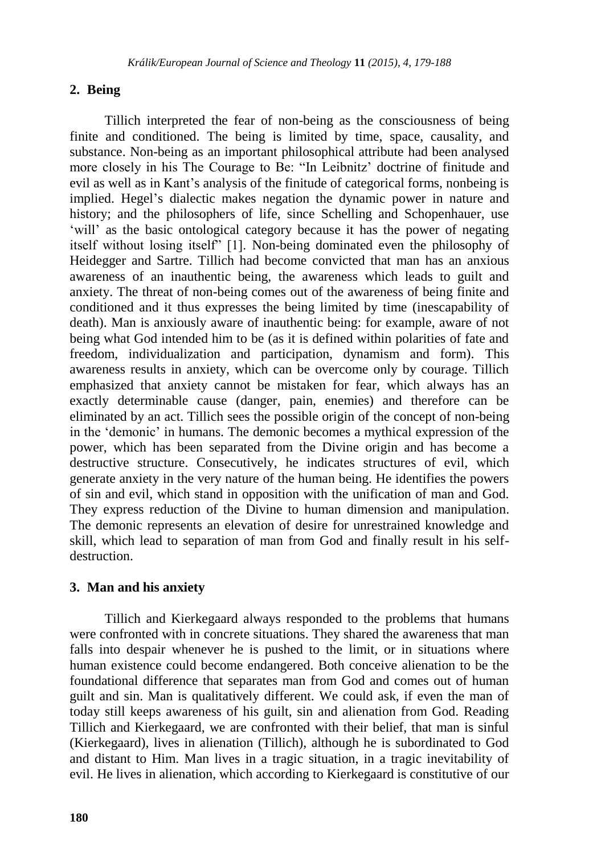### **2. Being**

Tillich interpreted the fear of non-being as the consciousness of being finite and conditioned. The being is limited by time, space, causality, and substance. Non-being as an important philosophical attribute had been analysed more closely in his The Courage to Be: "In Leibnitz" doctrine of finitude and evil as well as in Kant"s analysis of the finitude of categorical forms, nonbeing is implied. Hegel"s dialectic makes negation the dynamic power in nature and history; and the philosophers of life, since Schelling and Schopenhauer, use 'will' as the basic ontological category because it has the power of negating itself without losing itself" [1]. Non-being dominated even the philosophy of Heidegger and Sartre. Tillich had become convicted that man has an anxious awareness of an inauthentic being, the awareness which leads to guilt and anxiety. The threat of non-being comes out of the awareness of being finite and conditioned and it thus expresses the being limited by time (inescapability of death). Man is anxiously aware of inauthentic being: for example, aware of not being what God intended him to be (as it is defined within polarities of fate and freedom, individualization and participation, dynamism and form). This awareness results in anxiety, which can be overcome only by courage. Tillich emphasized that anxiety cannot be mistaken for fear, which always has an exactly determinable cause (danger, pain, enemies) and therefore can be eliminated by an act. Tillich sees the possible origin of the concept of non-being in the "demonic" in humans. The demonic becomes a mythical expression of the power, which has been separated from the Divine origin and has become a destructive structure. Consecutively, he indicates structures of evil, which generate anxiety in the very nature of the human being. He identifies the powers of sin and evil, which stand in opposition with the unification of man and God. They express reduction of the Divine to human dimension and manipulation. The demonic represents an elevation of desire for unrestrained knowledge and skill, which lead to separation of man from God and finally result in his selfdestruction.

#### **3. Man and his anxiety**

Tillich and Kierkegaard always responded to the problems that humans were confronted with in concrete situations. They shared the awareness that man falls into despair whenever he is pushed to the limit, or in situations where human existence could become endangered. Both conceive alienation to be the foundational difference that separates man from God and comes out of human guilt and sin. Man is qualitatively different. We could ask, if even the man of today still keeps awareness of his guilt, sin and alienation from God. Reading Tillich and Kierkegaard, we are confronted with their belief, that man is sinful (Kierkegaard), lives in alienation (Tillich), although he is subordinated to God and distant to Him. Man lives in a tragic situation, in a tragic inevitability of evil. He lives in alienation, which according to Kierkegaard is constitutive of our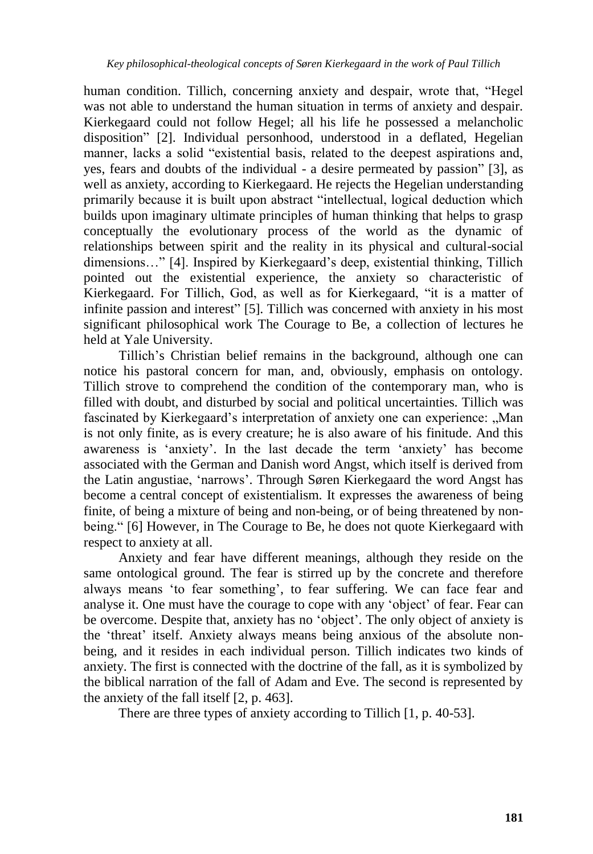human condition. Tillich, concerning anxiety and despair, wrote that, "Hegel was not able to understand the human situation in terms of anxiety and despair. Kierkegaard could not follow Hegel; all his life he possessed a melancholic disposition" [2]. Individual personhood, understood in a deflated, Hegelian manner, lacks a solid "existential basis, related to the deepest aspirations and, yes, fears and doubts of the individual - a desire permeated by passion" [3], as well as anxiety, according to Kierkegaard. He rejects the Hegelian understanding primarily because it is built upon abstract "intellectual, logical deduction which builds upon imaginary ultimate principles of human thinking that helps to grasp conceptually the evolutionary process of the world as the dynamic of relationships between spirit and the reality in its physical and cultural-social dimensions…" [4]. Inspired by Kierkegaard"s deep, existential thinking, Tillich pointed out the existential experience, the anxiety so characteristic of Kierkegaard. For Tillich, God, as well as for Kierkegaard, "it is a matter of infinite passion and interest" [5]. Tillich was concerned with anxiety in his most significant philosophical work The Courage to Be, a collection of lectures he held at Yale University.

Tillich"s Christian belief remains in the background, although one can notice his pastoral concern for man, and, obviously, emphasis on ontology. Tillich strove to comprehend the condition of the contemporary man, who is filled with doubt, and disturbed by social and political uncertainties. Tillich was fascinated by Kierkegaard's interpretation of anxiety one can experience: "Man is not only finite, as is every creature; he is also aware of his finitude. And this awareness is "anxiety". In the last decade the term "anxiety" has become associated with the German and Danish word Angst, which itself is derived from the Latin angustiae, "narrows". Through Søren Kierkegaard the word Angst has become a central concept of existentialism. It expresses the awareness of being finite, of being a mixture of being and non-being, or of being threatened by nonbeing." [6] However, in The Courage to Be, he does not quote Kierkegaard with respect to anxiety at all.

Anxiety and fear have different meanings, although they reside on the same ontological ground. The fear is stirred up by the concrete and therefore always means "to fear something", to fear suffering. We can face fear and analyse it. One must have the courage to cope with any "object" of fear. Fear can be overcome. Despite that, anxiety has no "object". The only object of anxiety is the "threat" itself. Anxiety always means being anxious of the absolute nonbeing, and it resides in each individual person. Tillich indicates two kinds of anxiety. The first is connected with the doctrine of the fall, as it is symbolized by the biblical narration of the fall of Adam and Eve. The second is represented by the anxiety of the fall itself [2, p. 463].

There are three types of anxiety according to Tillich [1, p. 40-53].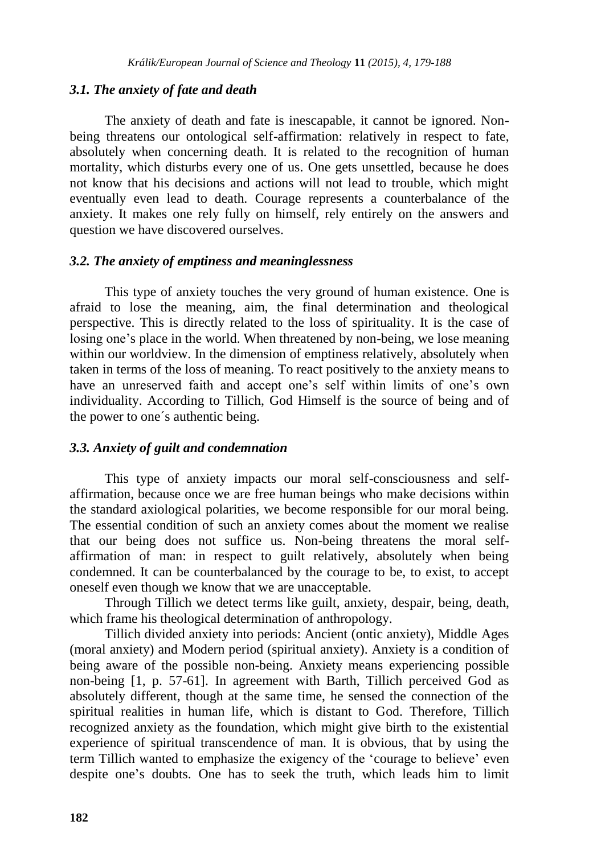#### *3.1. The anxiety of fate and death*

The anxiety of death and fate is inescapable, it cannot be ignored. Nonbeing threatens our ontological self-affirmation: relatively in respect to fate, absolutely when concerning death. It is related to the recognition of human mortality, which disturbs every one of us. One gets unsettled, because he does not know that his decisions and actions will not lead to trouble, which might eventually even lead to death. Courage represents a counterbalance of the anxiety. It makes one rely fully on himself, rely entirely on the answers and question we have discovered ourselves.

#### *3.2. The anxiety of emptiness and meaninglessness*

This type of anxiety touches the very ground of human existence. One is afraid to lose the meaning, aim, the final determination and theological perspective. This is directly related to the loss of spirituality. It is the case of losing one's place in the world. When threatened by non-being, we lose meaning within our worldview. In the dimension of emptiness relatively, absolutely when taken in terms of the loss of meaning. To react positively to the anxiety means to have an unreserved faith and accept one's self within limits of one's own individuality. According to Tillich, God Himself is the source of being and of the power to one´s authentic being.

#### *3.3. Anxiety of guilt and condemnation*

This type of anxiety impacts our moral self-consciousness and selfaffirmation, because once we are free human beings who make decisions within the standard axiological polarities, we become responsible for our moral being. The essential condition of such an anxiety comes about the moment we realise that our being does not suffice us. Non-being threatens the moral selfaffirmation of man: in respect to guilt relatively, absolutely when being condemned. It can be counterbalanced by the courage to be, to exist, to accept oneself even though we know that we are unacceptable.

Through Tillich we detect terms like guilt, anxiety, despair, being, death, which frame his theological determination of anthropology.

Tillich divided anxiety into periods: Ancient (ontic anxiety), Middle Ages (moral anxiety) and Modern period (spiritual anxiety). Anxiety is a condition of being aware of the possible non-being. Anxiety means experiencing possible non-being [1, p. 57-61]. In agreement with Barth, Tillich perceived God as absolutely different, though at the same time, he sensed the connection of the spiritual realities in human life, which is distant to God. Therefore, Tillich recognized anxiety as the foundation, which might give birth to the existential experience of spiritual transcendence of man. It is obvious, that by using the term Tillich wanted to emphasize the exigency of the "courage to believe" even despite one"s doubts. One has to seek the truth, which leads him to limit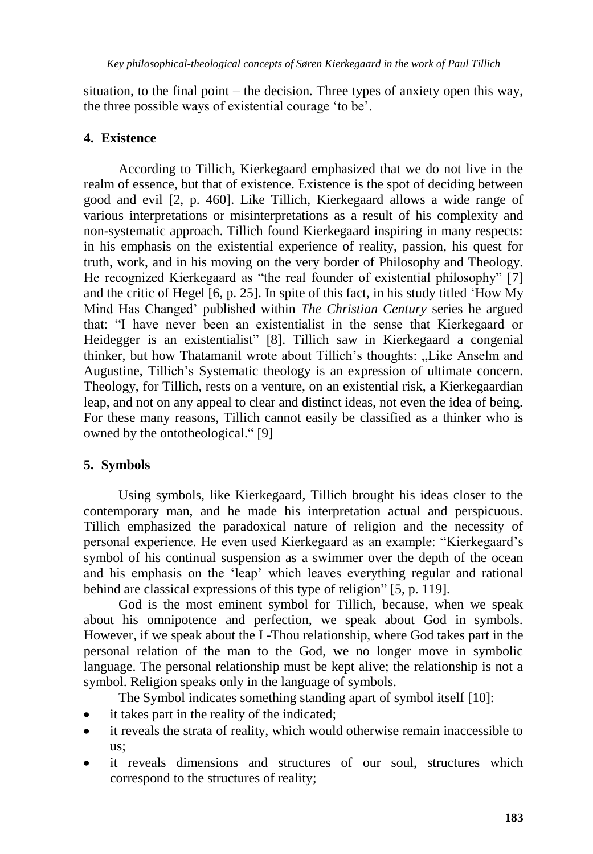situation, to the final point – the decision. Three types of anxiety open this way, the three possible ways of existential courage "to be".

# **4. Existence**

According to Tillich, Kierkegaard emphasized that we do not live in the realm of essence, but that of existence. Existence is the spot of deciding between good and evil [2, p. 460]. Like Tillich, Kierkegaard allows a wide range of various interpretations or misinterpretations as a result of his complexity and non-systematic approach. Tillich found Kierkegaard inspiring in many respects: in his emphasis on the existential experience of reality, passion, his quest for truth, work, and in his moving on the very border of Philosophy and Theology. He recognized Kierkegaard as "the real founder of existential philosophy" [7] and the critic of Hegel [6, p. 25]. In spite of this fact, in his study titled "How My Mind Has Changed" published within *The Christian Century* series he argued that: "I have never been an existentialist in the sense that Kierkegaard or Heidegger is an existentialist" [8]. Tillich saw in Kierkegaard a congenial thinker, but how Thatamanil wrote about Tillich's thoughts: "Like Anselm and Augustine, Tillich"s Systematic theology is an expression of ultimate concern. Theology, for Tillich, rests on a venture, on an existential risk, a Kierkegaardian leap, and not on any appeal to clear and distinct ideas, not even the idea of being. For these many reasons, Tillich cannot easily be classified as a thinker who is owned by the ontotheological." [9]

# **5. Symbols**

Using symbols, like Kierkegaard, Tillich brought his ideas closer to the contemporary man, and he made his interpretation actual and perspicuous. Tillich emphasized the paradoxical nature of religion and the necessity of personal experience. He even used Kierkegaard as an example: "Kierkegaard"s symbol of his continual suspension as a swimmer over the depth of the ocean and his emphasis on the "leap" which leaves everything regular and rational behind are classical expressions of this type of religion" [5, p. 119].

God is the most eminent symbol for Tillich, because, when we speak about his omnipotence and perfection, we speak about God in symbols. However, if we speak about the I -Thou relationship, where God takes part in the personal relation of the man to the God, we no longer move in symbolic language. The personal relationship must be kept alive; the relationship is not a symbol. Religion speaks only in the language of symbols.

The Symbol indicates something standing apart of symbol itself [10]:

- it takes part in the reality of the indicated;
- it reveals the strata of reality, which would otherwise remain inaccessible to us;
- it reveals dimensions and structures of our soul, structures which  $\bullet$ correspond to the structures of reality;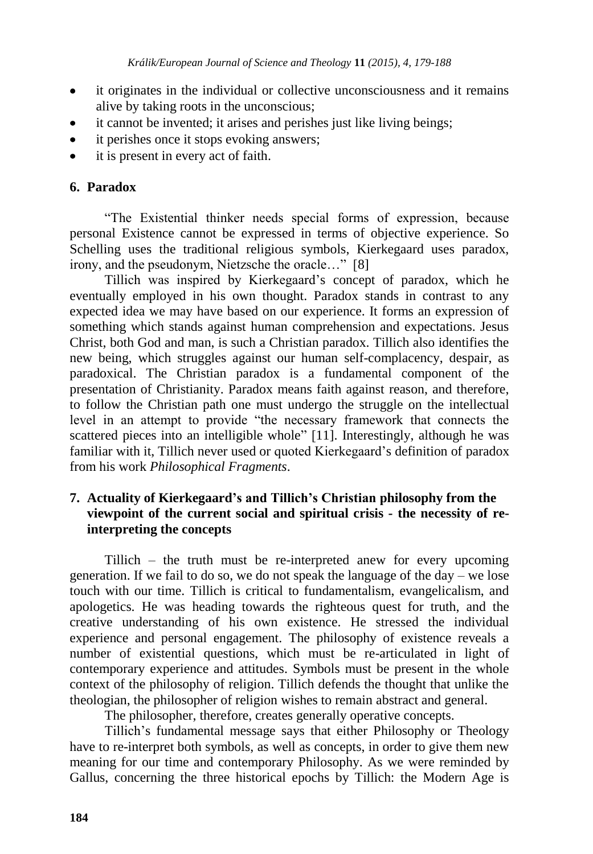- it originates in the individual or collective unconsciousness and it remains  $\bullet$ alive by taking roots in the unconscious;
- it cannot be invented; it arises and perishes just like living beings;
- it perishes once it stops evoking answers;
- it is present in every act of faith.  $\bullet$

# **6. Paradox**

"The Existential thinker needs special forms of expression, because personal Existence cannot be expressed in terms of objective experience. So Schelling uses the traditional religious symbols, Kierkegaard uses paradox, irony, and the pseudonym, Nietzsche the oracle…" [8]

Tillich was inspired by Kierkegaard"s concept of paradox, which he eventually employed in his own thought. Paradox stands in contrast to any expected idea we may have based on our experience. It forms an expression of something which stands against human comprehension and expectations. Jesus Christ, both God and man, is such a Christian paradox. Tillich also identifies the new being, which struggles against our human self-complacency, despair, as paradoxical. The Christian paradox is a fundamental component of the presentation of Christianity. Paradox means faith against reason, and therefore, to follow the Christian path one must undergo the struggle on the intellectual level in an attempt to provide "the necessary framework that connects the scattered pieces into an intelligible whole" [11]. Interestingly, although he was familiar with it, Tillich never used or quoted Kierkegaard's definition of paradox from his work *Philosophical Fragments*.

# **7. Actuality of Kierkegaard's and Tillich's Christian philosophy from the viewpoint of the current social and spiritual crisis - the necessity of reinterpreting the concepts**

Tillich – the truth must be re-interpreted anew for every upcoming generation. If we fail to do so, we do not speak the language of the day – we lose touch with our time. Tillich is critical to fundamentalism, evangelicalism, and apologetics. He was heading towards the righteous quest for truth, and the creative understanding of his own existence. He stressed the individual experience and personal engagement. The philosophy of existence reveals a number of existential questions, which must be re-articulated in light of contemporary experience and attitudes. Symbols must be present in the whole context of the philosophy of religion. Tillich defends the thought that unlike the theologian, the philosopher of religion wishes to remain abstract and general.

The philosopher, therefore, creates generally operative concepts.

Tillich"s fundamental message says that either Philosophy or Theology have to re-interpret both symbols, as well as concepts, in order to give them new meaning for our time and contemporary Philosophy. As we were reminded by Gallus, concerning the three historical epochs by Tillich: the Modern Age is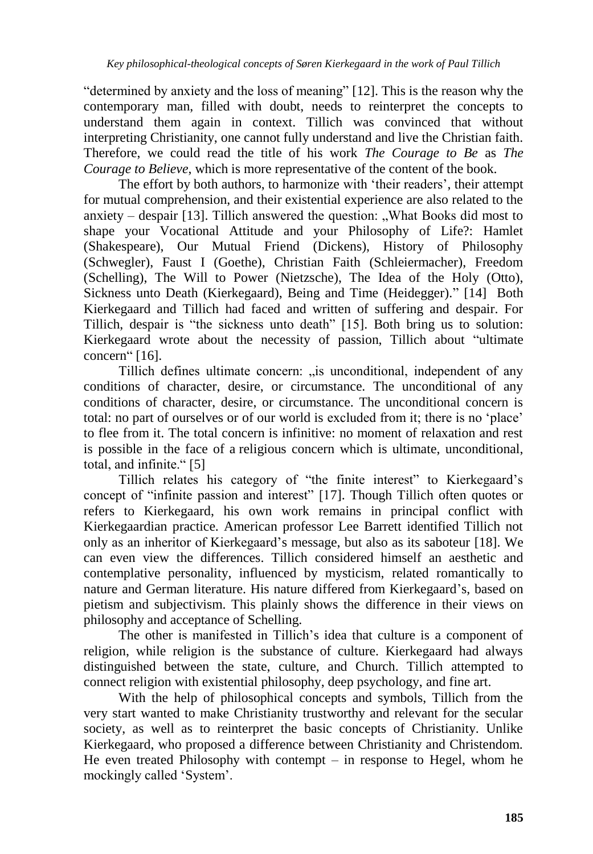"determined by anxiety and the loss of meaning" [12]. This is the reason why the contemporary man, filled with doubt, needs to reinterpret the concepts to understand them again in context. Tillich was convinced that without interpreting Christianity, one cannot fully understand and live the Christian faith. Therefore, we could read the title of his work *The Courage to Be* as *The Courage to Believe*, which is more representative of the content of the book.

The effort by both authors, to harmonize with 'their readers', their attempt for mutual comprehension, and their existential experience are also related to the anxiety – despair  $[13]$ . Tillich answered the question: "What Books did most to shape your Vocational Attitude and your Philosophy of Life?: Hamlet (Shakespeare), Our Mutual Friend (Dickens), History of Philosophy (Schwegler), Faust I (Goethe), Christian Faith (Schleiermacher), Freedom (Schelling), The Will to Power (Nietzsche), The Idea of the Holy (Otto), Sickness unto Death (Kierkegaard), Being and Time (Heidegger)." [14] Both Kierkegaard and Tillich had faced and written of suffering and despair. For Tillich, despair is "the sickness unto death" [15]. Both bring us to solution: Kierkegaard wrote about the necessity of passion, Tillich about "ultimate concern" [16].

Tillich defines ultimate concern: "is unconditional, independent of any conditions of character, desire, or circumstance. The unconditional of any conditions of character, desire, or circumstance. The unconditional concern is total: no part of ourselves or of our world is excluded from it; there is no "place" to flee from it. The total concern is infinitive: no moment of relaxation and rest is possible in the face of a religious concern which is ultimate, unconditional, total, and infinite." [5]

Tillich relates his category of "the finite interest" to Kierkegaard"s concept of "infinite passion and interest" [17]. Though Tillich often quotes or refers to Kierkegaard, his own work remains in principal conflict with Kierkegaardian practice. American professor Lee Barrett identified Tillich not only as an inheritor of Kierkegaard"s message, but also as its saboteur [18]. We can even view the differences. Tillich considered himself an aesthetic and contemplative personality, influenced by mysticism, related romantically to nature and German literature. His nature differed from Kierkegaard's, based on pietism and subjectivism. This plainly shows the difference in their views on philosophy and acceptance of Schelling.

The other is manifested in Tillich"s idea that culture is a component of religion, while religion is the substance of culture. Kierkegaard had always distinguished between the state, culture, and Church. Tillich attempted to connect religion with existential philosophy, deep psychology, and fine art.

With the help of philosophical concepts and symbols, Tillich from the very start wanted to make Christianity trustworthy and relevant for the secular society, as well as to reinterpret the basic concepts of Christianity. Unlike Kierkegaard, who proposed a difference between Christianity and Christendom. He even treated Philosophy with contempt  $-$  in response to Hegel, whom he mockingly called "System".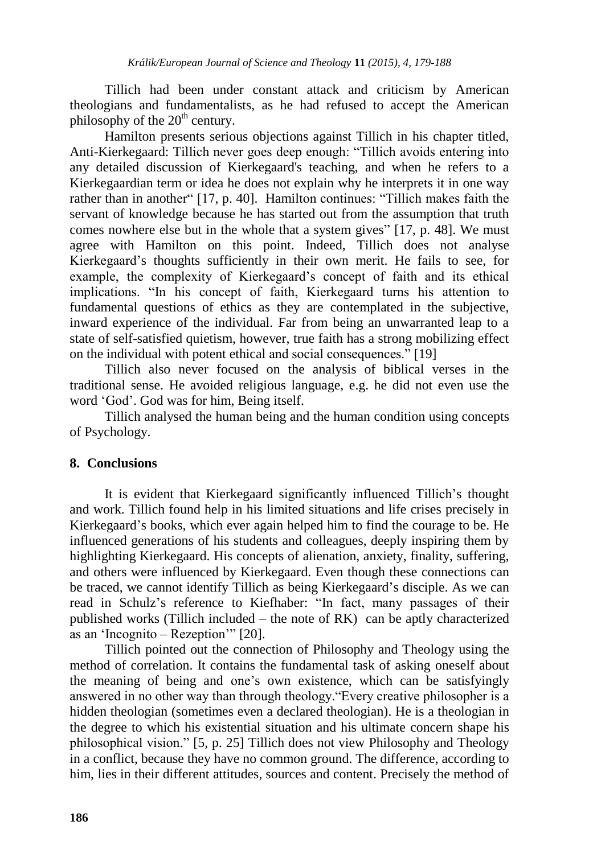Tillich had been under constant attack and criticism by American theologians and fundamentalists, as he had refused to accept the American philosophy of the  $20<sup>th</sup>$  century.

Hamilton presents serious objections against Tillich in his chapter titled, Anti-Kierkegaard: Tillich never goes deep enough: "Tillich avoids entering into any detailed discussion of Kierkegaard's teaching, and when he refers to a Kierkegaardian term or idea he does not explain why he interprets it in one way rather than in another" [17, p. 40]. Hamilton continues: "Tillich makes faith the servant of knowledge because he has started out from the assumption that truth comes nowhere else but in the whole that a system gives" [17, p. 48]. We must agree with Hamilton on this point. Indeed, Tillich does not analyse Kierkegaard"s thoughts sufficiently in their own merit. He fails to see, for example, the complexity of Kierkegaard's concept of faith and its ethical implications. "In his concept of faith, Kierkegaard turns his attention to fundamental questions of ethics as they are contemplated in the subjective, inward experience of the individual. Far from being an unwarranted leap to a state of self-satisfied quietism, however, true faith has a strong mobilizing effect on the individual with potent ethical and social consequences." [19]

Tillich also never focused on the analysis of biblical verses in the traditional sense. He avoided religious language, e.g. he did not even use the word "God". God was for him, Being itself.

Tillich analysed the human being and the human condition using concepts of Psychology.

#### **8. Conclusions**

It is evident that Kierkegaard significantly influenced Tillich"s thought and work. Tillich found help in his limited situations and life crises precisely in Kierkegaard"s books, which ever again helped him to find the courage to be. He influenced generations of his students and colleagues, deeply inspiring them by highlighting Kierkegaard. His concepts of alienation, anxiety, finality, suffering, and others were influenced by Kierkegaard. Even though these connections can be traced, we cannot identify Tillich as being Kierkegaard"s disciple. As we can read in Schulz"s reference to Kiefhaber: "In fact, many passages of their published works (Tillich included – the note of RK) can be aptly characterized as an "Incognito – Rezeption"" [20].

Tillich pointed out the connection of Philosophy and Theology using the method of correlation. It contains the fundamental task of asking oneself about the meaning of being and one"s own existence, which can be satisfyingly answered in no other way than through theology."Every creative philosopher is a hidden theologian (sometimes even a declared theologian). He is a theologian in the degree to which his existential situation and his ultimate concern shape his philosophical vision." [5, p. 25] Tillich does not view Philosophy and Theology in a conflict, because they have no common ground. The difference, according to him, lies in their different attitudes, sources and content. Precisely the method of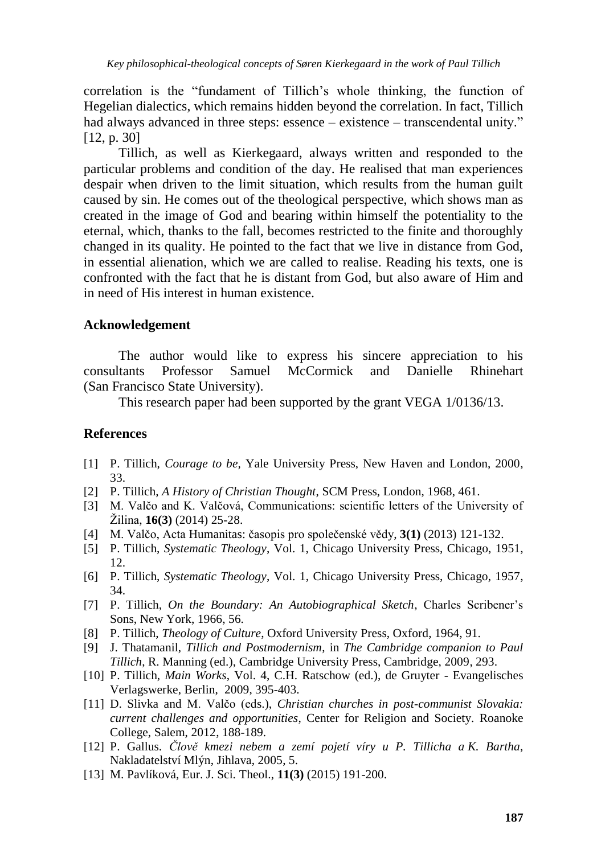correlation is the "fundament of Tillich"s whole thinking, the function of Hegelian dialectics, which remains hidden beyond the correlation. In fact, Tillich had always advanced in three steps: essence – existence – transcendental unity." [12, p. 30]

Tillich, as well as Kierkegaard, always written and responded to the particular problems and condition of the day. He realised that man experiences despair when driven to the limit situation, which results from the human guilt caused by sin. He comes out of the theological perspective, which shows man as created in the image of God and bearing within himself the potentiality to the eternal, which, thanks to the fall, becomes restricted to the finite and thoroughly changed in its quality. He pointed to the fact that we live in distance from God, in essential alienation, which we are called to realise. Reading his texts, one is confronted with the fact that he is distant from God, but also aware of Him and in need of His interest in human existence.

### **Acknowledgement**

The author would like to express his sincere appreciation to his consultants Professor Samuel McCormick and Danielle Rhinehart (San Francisco State University).

This research paper had been supported by the grant VEGA 1/0136/13.

#### **References**

- [1] P. Tillich, *Courage to be,* Yale University Press, New Haven and London, 2000, 33.
- [2] P. Tillich, *A History of Christian Thought*, SCM Press, London, 1968, 461.
- [3] M. Valčo and K. Valčová, Communications: scientific letters of the University of Žilina, **16(3)** (2014) 25-28.
- [4] M. Valčo, Acta Humanitas: časopis pro společenské vědy, **3(1)** (2013) 121-132.
- [5] P. Tillich, *Systematic Theology*, Vol. 1, Chicago University Press, Chicago, 1951, 12.
- [6] P. Tillich, *Systematic Theology*, Vol. 1, Chicago University Press, Chicago, 1957, 34.
- [7] P. Tillich, *On the Boundary: An Autobiographical Sketch*, Charles Scribener"s Sons, New York, 1966, 56.
- [8] P. Tillich, *Theology of Culture*, Oxford University Press, Oxford, 1964, 91.
- [9] J. Thatamanil, *Tillich and Postmodernism*, in *The Cambridge companion to Paul Tillich*, R. Manning (ed.), Cambridge University Press, Cambridge, 2009, 293.
- [10] P. Tillich, *Main Works*, Vol. 4, C.H. Ratschow (ed.), de Gruyter Evangelisches Verlagswerke, Berlin, 2009, 395-403.
- [11] D. Slivka and M. Valčo (eds.), *Christian churches in post-communist Slovakia: current challenges and opportunities*, Center for Religion and Society. Roanoke College, Salem, 2012, 188-189.
- [12] P. Gallus. *Člově kmezi nebem a zemí pojetí víry u P. Tillicha a K. Bartha*, Nakladatelství Mlýn, Jihlava, 2005, 5.
- [13] M. Pavlíková, Eur. J. Sci. Theol., **11(3)** (2015) 191-200.